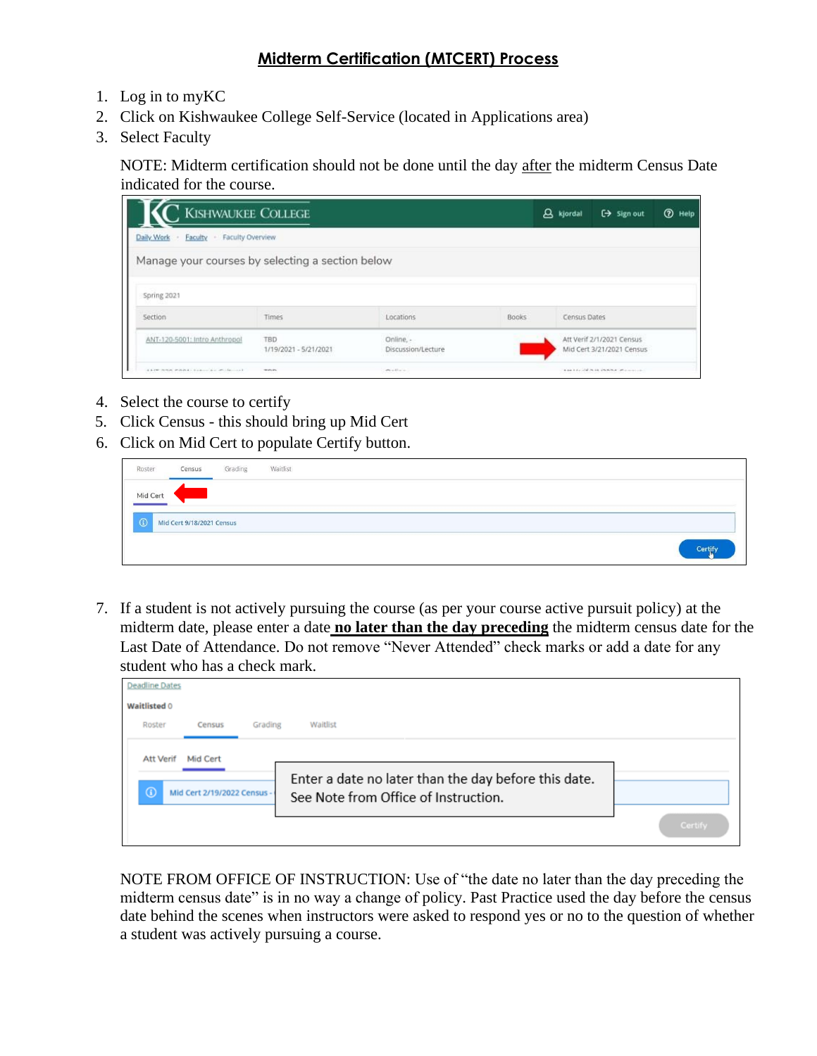## **Midterm Certification (MTCERT) Process**

- 1. Log in to myKC
- 2. Click on Kishwaukee College Self-Service (located in Applications area)
- 3. Select Faculty

NOTE: Midterm certification should not be done until the day after the midterm Census Date indicated for the course.

| <b>KISHWAUKEE COLLEGE</b>                        |                              |                                 |       | A kjordal    | $\xi \rightarrow$ Sign out                             | <b>2</b> Help |
|--------------------------------------------------|------------------------------|---------------------------------|-------|--------------|--------------------------------------------------------|---------------|
| Faculty - Faculty Overview<br>Daily Work         |                              |                                 |       |              |                                                        |               |
| Manage your courses by selecting a section below |                              |                                 |       |              |                                                        |               |
| Spring 2021                                      |                              |                                 |       |              |                                                        |               |
| Section                                          | Times                        | Locations                       | Books | Census Dates |                                                        |               |
| ANT-120-5001: Intro Anthropol                    | TBD<br>1/19/2021 - 5/21/2021 | Online. -<br>Discussion/Lecture |       |              | Att Verif 2/1/2021 Census<br>Mid Cert 3/21/2021 Census |               |
| A LOW PURS MAIN A LOW-LOW MOTOR CALL             | minim.<br>---                | miller.                         |       |              | A painter with middle and manufacturers and            |               |

- 4. Select the course to certify
- 5. Click Census this should bring up Mid Cert
- 6. Click on Mid Cert to populate Certify button.

| Roster     | Census                    | Grading | Waitlist |  |  |  |  |  |         |  |
|------------|---------------------------|---------|----------|--|--|--|--|--|---------|--|
| Mid Cert   |                           |         |          |  |  |  |  |  |         |  |
| $\sqrt{a}$ | Mid Cert 9/18/2021 Census |         |          |  |  |  |  |  |         |  |
|            |                           |         |          |  |  |  |  |  | Certify |  |

7. If a student is not actively pursuing the course (as per your course active pursuit policy) at the midterm date, please enter a date **no later than the day preceding** the midterm census date for the Last Date of Attendance. Do not remove "Never Attended" check marks or add a date for any student who has a check mark.

| <b>Deadline Dates</b>                                                  |                                                                                              |         |
|------------------------------------------------------------------------|----------------------------------------------------------------------------------------------|---------|
| Waitlisted 0                                                           |                                                                                              |         |
| Grading<br>Roster<br>Census                                            | Waitlist                                                                                     |         |
| Mid Cert<br><b>Att Verif</b><br>$\odot$<br>Mid Cert 2/19/2022 Census - | Enter a date no later than the day before this date.<br>See Note from Office of Instruction. | Certify |

NOTE FROM OFFICE OF INSTRUCTION: Use of "the date no later than the day preceding the midterm census date" is in no way a change of policy. Past Practice used the day before the census date behind the scenes when instructors were asked to respond yes or no to the question of whether a student was actively pursuing a course.